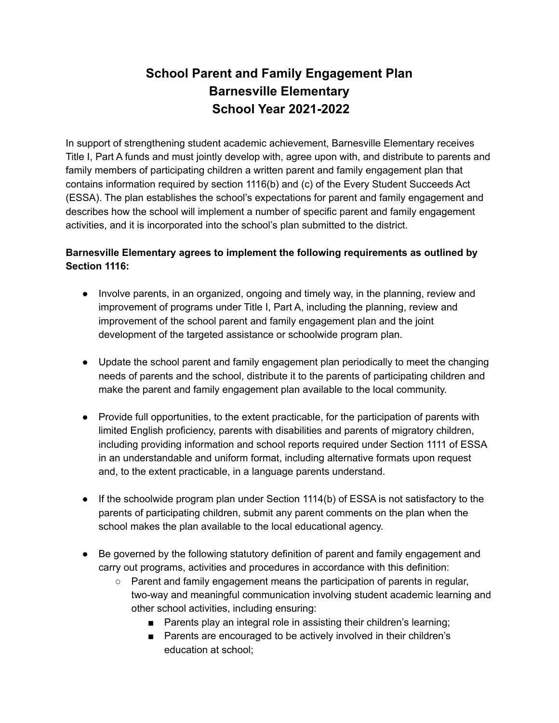# **School Parent and Family Engagement Plan Barnesville Elementary School Year 2021-2022**

In support of strengthening student academic achievement, Barnesville Elementary receives Title I, Part A funds and must jointly develop with, agree upon with, and distribute to parents and family members of participating children a written parent and family engagement plan that contains information required by section 1116(b) and (c) of the Every Student Succeeds Act (ESSA). The plan establishes the school's expectations for parent and family engagement and describes how the school will implement a number of specific parent and family engagement activities, and it is incorporated into the school's plan submitted to the district.

# **Barnesville Elementary agrees to implement the following requirements as outlined by Section 1116:**

- Involve parents, in an organized, ongoing and timely way, in the planning, review and improvement of programs under Title I, Part A, including the planning, review and improvement of the school parent and family engagement plan and the joint development of the targeted assistance or schoolwide program plan.
- Update the school parent and family engagement plan periodically to meet the changing needs of parents and the school, distribute it to the parents of participating children and make the parent and family engagement plan available to the local community.
- Provide full opportunities, to the extent practicable, for the participation of parents with limited English proficiency, parents with disabilities and parents of migratory children, including providing information and school reports required under Section 1111 of ESSA in an understandable and uniform format, including alternative formats upon request and, to the extent practicable, in a language parents understand.
- If the schoolwide program plan under Section 1114(b) of ESSA is not satisfactory to the parents of participating children, submit any parent comments on the plan when the school makes the plan available to the local educational agency.
- Be governed by the following statutory definition of parent and family engagement and carry out programs, activities and procedures in accordance with this definition:
	- Parent and family engagement means the participation of parents in regular, two-way and meaningful communication involving student academic learning and other school activities, including ensuring:
		- Parents play an integral role in assisting their children's learning;
		- Parents are encouraged to be actively involved in their children's education at school;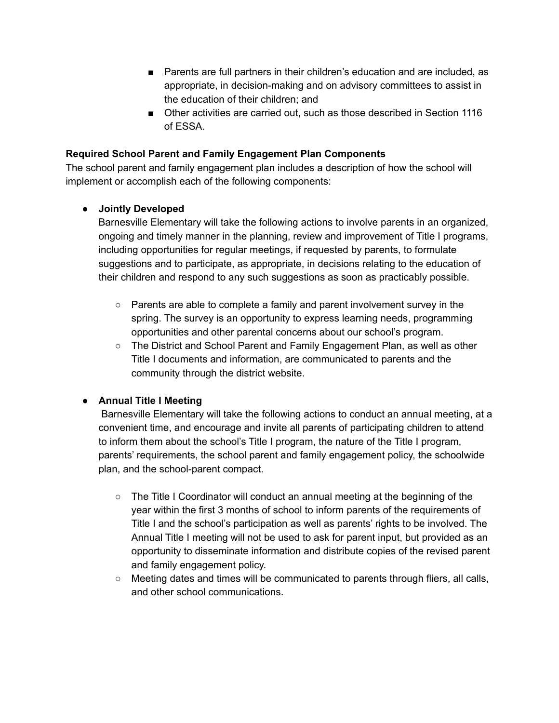- Parents are full partners in their children's education and are included, as appropriate, in decision-making and on advisory committees to assist in the education of their children; and
- Other activities are carried out, such as those described in Section 1116 of ESSA.

#### **Required School Parent and Family Engagement Plan Components**

The school parent and family engagement plan includes a description of how the school will implement or accomplish each of the following components:

## **● Jointly Developed**

Barnesville Elementary will take the following actions to involve parents in an organized, ongoing and timely manner in the planning, review and improvement of Title I programs, including opportunities for regular meetings, if requested by parents, to formulate suggestions and to participate, as appropriate, in decisions relating to the education of their children and respond to any such suggestions as soon as practicably possible.

- $\circ$  Parents are able to complete a family and parent involvement survey in the spring. The survey is an opportunity to express learning needs, programming opportunities and other parental concerns about our school's program.
- The District and School Parent and Family Engagement Plan, as well as other Title I documents and information, are communicated to parents and the community through the district website.

#### **● Annual Title I Meeting**

Barnesville Elementary will take the following actions to conduct an annual meeting, at a convenient time, and encourage and invite all parents of participating children to attend to inform them about the school's Title I program, the nature of the Title I program, parents' requirements, the school parent and family engagement policy, the schoolwide plan, and the school-parent compact.

- $\circ$  The Title I Coordinator will conduct an annual meeting at the beginning of the year within the first 3 months of school to inform parents of the requirements of Title I and the school's participation as well as parents' rights to be involved. The Annual Title I meeting will not be used to ask for parent input, but provided as an opportunity to disseminate information and distribute copies of the revised parent and family engagement policy.
- $\circ$  Meeting dates and times will be communicated to parents through fliers, all calls, and other school communications.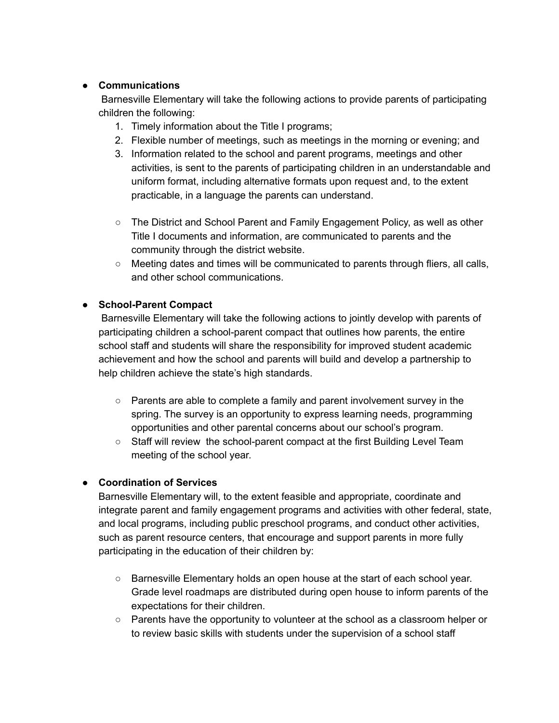#### **● Communications**

Barnesville Elementary will take the following actions to provide parents of participating children the following:

- 1. Timely information about the Title I programs;
- 2. Flexible number of meetings, such as meetings in the morning or evening; and
- 3. Information related to the school and parent programs, meetings and other activities, is sent to the parents of participating children in an understandable and uniform format, including alternative formats upon request and, to the extent practicable, in a language the parents can understand.
- The District and School Parent and Family Engagement Policy, as well as other Title I documents and information, are communicated to parents and the community through the district website.
- $\circ$  Meeting dates and times will be communicated to parents through fliers, all calls, and other school communications.

#### **● School-Parent Compact**

Barnesville Elementary will take the following actions to jointly develop with parents of participating children a school-parent compact that outlines how parents, the entire school staff and students will share the responsibility for improved student academic achievement and how the school and parents will build and develop a partnership to help children achieve the state's high standards.

- Parents are able to complete a family and parent involvement survey in the spring. The survey is an opportunity to express learning needs, programming opportunities and other parental concerns about our school's program.
- Staff will review the school-parent compact at the first Building Level Team meeting of the school year.

#### ● **Coordination of Services**

Barnesville Elementary will, to the extent feasible and appropriate, coordinate and integrate parent and family engagement programs and activities with other federal, state, and local programs, including public preschool programs, and conduct other activities, such as parent resource centers, that encourage and support parents in more fully participating in the education of their children by:

- Barnesville Elementary holds an open house at the start of each school year. Grade level roadmaps are distributed during open house to inform parents of the expectations for their children.
- Parents have the opportunity to volunteer at the school as a classroom helper or to review basic skills with students under the supervision of a school staff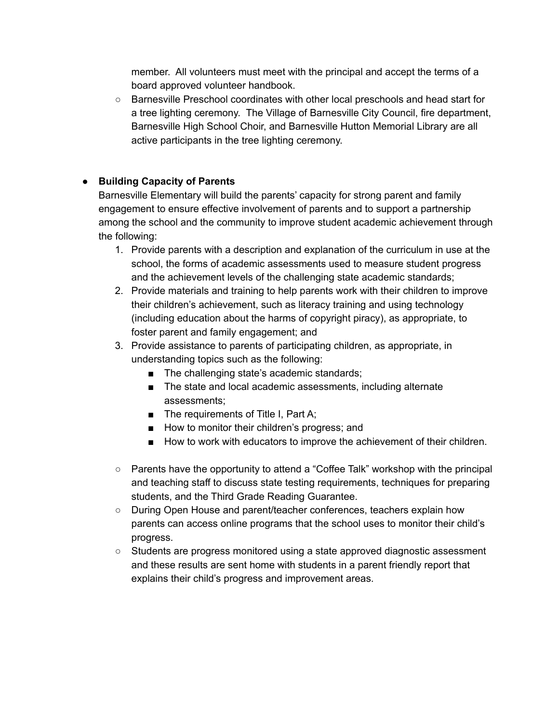member. All volunteers must meet with the principal and accept the terms of a board approved volunteer handbook.

○ Barnesville Preschool coordinates with other local preschools and head start for a tree lighting ceremony. The Village of Barnesville City Council, fire department, Barnesville High School Choir, and Barnesville Hutton Memorial Library are all active participants in the tree lighting ceremony.

# **● Building Capacity of Parents**

Barnesville Elementary will build the parents' capacity for strong parent and family engagement to ensure effective involvement of parents and to support a partnership among the school and the community to improve student academic achievement through the following:

- 1. Provide parents with a description and explanation of the curriculum in use at the school, the forms of academic assessments used to measure student progress and the achievement levels of the challenging state academic standards;
- 2. Provide materials and training to help parents work with their children to improve their children's achievement, such as literacy training and using technology (including education about the harms of copyright piracy), as appropriate, to foster parent and family engagement; and
- 3. Provide assistance to parents of participating children, as appropriate, in understanding topics such as the following:
	- The challenging state's academic standards;
	- The state and local academic assessments, including alternate assessments;
	- The requirements of Title I, Part A;
	- How to monitor their children's progress; and
	- How to work with educators to improve the achievement of their children.
- $\circ$  Parents have the opportunity to attend a "Coffee Talk" workshop with the principal and teaching staff to discuss state testing requirements, techniques for preparing students, and the Third Grade Reading Guarantee.
- During Open House and parent/teacher conferences, teachers explain how parents can access online programs that the school uses to monitor their child's progress.
- Students are progress monitored using a state approved diagnostic assessment and these results are sent home with students in a parent friendly report that explains their child's progress and improvement areas.